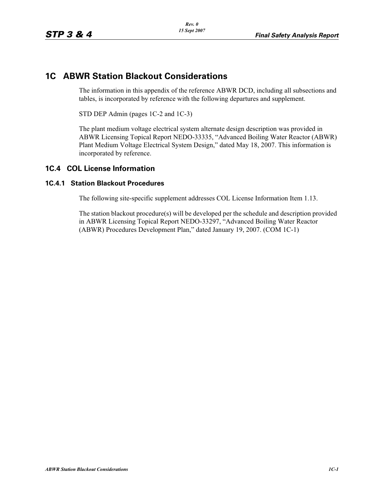## **1C ABWR Station Blackout Considerations**

The information in this appendix of the reference ABWR DCD, including all subsections and tables, is incorporated by reference with the following departures and supplement.

STD DEP Admin (pages 1C-2 and 1C-3)

The plant medium voltage electrical system alternate design description was provided in ABWR Licensing Topical Report NEDO-33335, "Advanced Boiling Water Reactor (ABWR) Plant Medium Voltage Electrical System Design," dated May 18, 2007. This information is incorporated by reference.

## **1C.4 COL License Information**

## **1C.4.1 Station Blackout Procedures**

The following site-specific supplement addresses COL License Information Item 1.13.

The station blackout procedure(s) will be developed per the schedule and description provided in ABWR Licensing Topical Report NEDO-33297, "Advanced Boiling Water Reactor (ABWR) Procedures Development Plan," dated January 19, 2007. (COM 1C-1)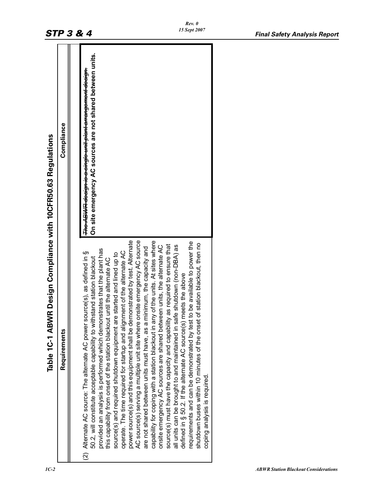|                                               |              | <b>STP 3 &amp; 4</b>                                                                                                                                                                                                                                                                                                                                                                                                                                                                                                                                                                                                                                                                                                          | <b>Final Safety Analysis Report</b>                                                                                                                                                                                                                                                                                                                                                                                                                                                                                                                                                         |  |
|-----------------------------------------------|--------------|-------------------------------------------------------------------------------------------------------------------------------------------------------------------------------------------------------------------------------------------------------------------------------------------------------------------------------------------------------------------------------------------------------------------------------------------------------------------------------------------------------------------------------------------------------------------------------------------------------------------------------------------------------------------------------------------------------------------------------|---------------------------------------------------------------------------------------------------------------------------------------------------------------------------------------------------------------------------------------------------------------------------------------------------------------------------------------------------------------------------------------------------------------------------------------------------------------------------------------------------------------------------------------------------------------------------------------------|--|
| Design Compliance with 10CFR50.63 Regulations | Compliance   | On site emergency AC sources are not shared between units.<br>T <del>he ABWR design is a single unit plant arrangement design.</del>                                                                                                                                                                                                                                                                                                                                                                                                                                                                                                                                                                                          |                                                                                                                                                                                                                                                                                                                                                                                                                                                                                                                                                                                             |  |
| Table 1C-1 ABWR                               | Requirements | te emergency AC source<br>power source(s) and this equipment shall be demonstrated by test. Alternate<br>are not shared between units must have, as a minimum, the capacity and<br>provided an analysis is performed which demonstrates that the plant has<br>operate. The time required for startup and alignment of the alternate AC<br>Alternate AC source: The alternate AC power source(s), as defined in §<br>source(s) and required shutdown equipment are started and lined up to<br>50.2, will constitute acceptable capability to withstand station blackout<br>this capability from onset of the station blackout until the alternate AC<br>AC source(s) serving a multiple unit site where onsit<br>$\widehat{2}$ | capability for coping with a station blackout in any of the units. At sites where<br>e available to power the<br>shutdown buses within 10 minutes of the onset of station blackout, then no<br>source(s) must have the capacity and capability as required to ensure that<br>all units can be brought to and maintained in safe shutdown (non-DBA) as<br>units, the alternate AC<br>defined in § 50.2. If the alternate AC source(s) meets the above<br>onsite emergency AC sources are shared between<br>requirements and can be demonstrated by test to b<br>coping analysis is required. |  |